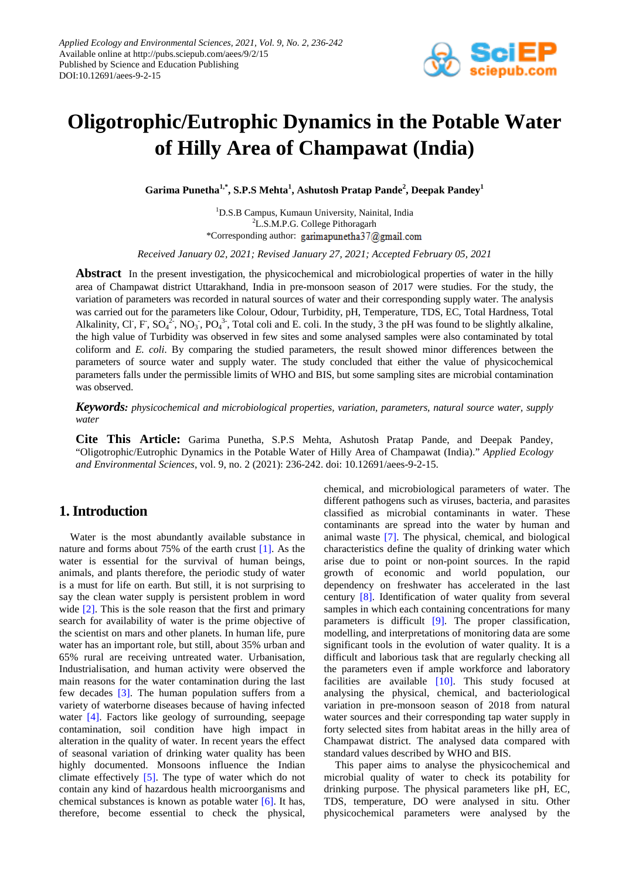

# **Oligotrophic/Eutrophic Dynamics in the Potable Water of Hilly Area of Champawat (India)**

**Garima Punetha1,\* , S.P.S Mehta<sup>1</sup> , Ashutosh Pratap Pande<sup>2</sup> , Deepak Pandey<sup>1</sup>**

1 D.S.B Campus, Kumaun University, Nainital, India <sup>2</sup>L.S.M.P.G. College Pithoragarh \*Corresponding author: garimapunetha37@gmail.com

*Received January 02, 2021; Revised January 27, 2021; Accepted February 05, 2021*

**Abstract** In the present investigation, the physicochemical and microbiological properties of water in the hilly area of Champawat district Uttarakhand, India in pre-monsoon season of 2017 were studies. For the study, the variation of parameters was recorded in natural sources of water and their corresponding supply water. The analysis was carried out for the parameters like Colour, Odour, Turbidity, pH, Temperature, TDS, EC, Total Hardness, Total Alkalinity, Cl<sup>-</sup>, F, SO<sub>4</sub><sup>2</sup>, NO<sub>3</sub><sup>-</sup>, PO<sub>4</sub><sup>3</sup>-, Total coli and E. coli. In the study, 3 the pH was found to be slightly alkaline, the high value of Turbidity was observed in few sites and some analysed samples were also contaminated by total coliform and *E. coli*. By comparing the studied parameters, the result showed minor differences between the parameters of source water and supply water. The study concluded that either the value of physicochemical parameters falls under the permissible limits of WHO and BIS, but some sampling sites are microbial contamination was observed.

*Keywords: physicochemical and microbiological properties, variation, parameters, natural source water, supply water*

**Cite This Article:** Garima Punetha, S.P.S Mehta, Ashutosh Pratap Pande, and Deepak Pandey, "Oligotrophic/Eutrophic Dynamics in the Potable Water of Hilly Area of Champawat (India)." *Applied Ecology and Environmental Sciences*, vol. 9, no. 2 (2021): 236-242. doi: 10.12691/aees-9-2-15.

# **1. Introduction**

Water is the most abundantly available substance in nature and forms about 75% of the earth crust [\[1\].](#page-6-0) As the water is essential for the survival of human beings, animals, and plants therefore, the periodic study of water is a must for life on earth. But still, it is not surprising to say the clean water supply is persistent problem in word wide [\[2\].](#page-6-1) This is the sole reason that the first and primary search for availability of water is the prime objective of the scientist on mars and other planets. In human life, pure water has an important role, but still, about 35% urban and 65% rural are receiving untreated water. Urbanisation, Industrialisation, and human activity were observed the main reasons for the water contamination during the last few decades [\[3\].](#page-6-2) The human population suffers from a variety of waterborne diseases because of having infected water [\[4\].](#page-6-3) Factors like geology of surrounding, seepage contamination, soil condition have high impact in alteration in the quality of water. In recent years the effect of seasonal variation of drinking water quality has been highly documented. Monsoons influence the Indian climate effectively [\[5\].](#page-6-4) The type of water which do not contain any kind of hazardous health microorganisms and chemical substances is known as potable water [\[6\].](#page-6-5) It has, therefore, become essential to check the physical,

chemical, and microbiological parameters of water. The different pathogens such as viruses, bacteria, and parasites classified as microbial contaminants in water. These contaminants are spread into the water by human and animal waste [\[7\].](#page-6-6) The physical, chemical, and biological characteristics define the quality of drinking water which arise due to point or non-point sources. In the rapid growth of economic and world population, our dependency on freshwater has accelerated in the last century [\[8\].](#page-6-7) Identification of water quality from several samples in which each containing concentrations for many parameters is difficult [\[9\].](#page-6-8) The proper classification, modelling, and interpretations of monitoring data are some significant tools in the evolution of water quality. It is a difficult and laborious task that are regularly checking all the parameters even if ample workforce and laboratory facilities are available [\[10\].](#page-6-9) This study focused at analysing the physical, chemical, and bacteriological variation in pre-monsoon season of 2018 from natural water sources and their corresponding tap water supply in forty selected sites from habitat areas in the hilly area of Champawat district. The analysed data compared with standard values described by WHO and BIS.

This paper aims to analyse the physicochemical and microbial quality of water to check its potability for drinking purpose. The physical parameters like pH, EC, TDS, temperature, DO were analysed in situ. Other physicochemical parameters were analysed by the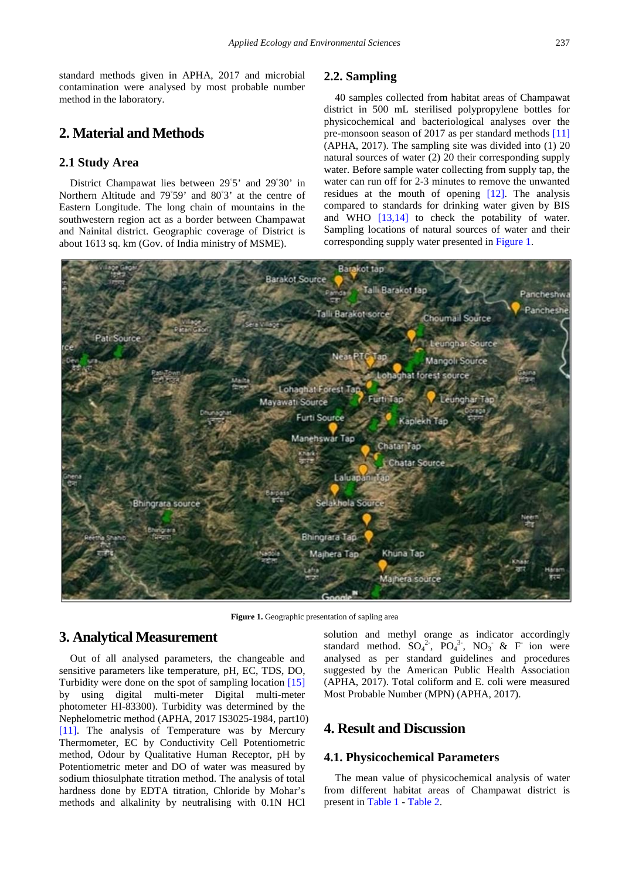standard methods given in APHA, 2017 and microbial contamination were analysed by most probable number method in the laboratory.

# **2. Material and Methods**

#### **2.1 Study Area**

District Champawat lies between 29°5' and 29°30' in Northern Altitude and 79◦ 59' and 80◦ 3' at the centre of Eastern Longitude. The long chain of mountains in the southwestern region act as a border between Champawat and Nainital district. Geographic coverage of District is about 1613 sq. km (Gov. of India ministry of MSME).

#### **2.2. Sampling**

40 samples collected from habitat areas of Champawat district in 500 mL sterilised polypropylene bottles for physicochemical and bacteriological analyses over the pre-monsoon season of 2017 as per standard methods [\[11\]](#page-6-10) (APHA, 2017). The sampling site was divided into (1) 20 natural sources of water (2) 20 their corresponding supply water. Before sample water collecting from supply tap, the water can run off for 2-3 minutes to remove the unwanted residues at the mouth of opening [\[12\].](#page-6-11) The analysis compared to standards for drinking water given by BIS and WHO [\[13,14\]](#page-6-12) to check the potability of water. Sampling locations of natural sources of water and their corresponding supply water presented in [Figure 1.](#page-1-0)

<span id="page-1-0"></span>

Figure 1. Geographic presentation of sapling area

### **3. Analytical Measurement**

Out of all analysed parameters, the changeable and sensitive parameters like temperature, pH, EC, TDS, DO, Turbidity were done on the spot of sampling location [\[15\]](#page-6-13) by using digital multi-meter Digital multi-meter photometer HI-83300). Turbidity was determined by the Nephelometric method (APHA, 2017 IS3025-1984, part10) [\[11\].](#page-6-10) The analysis of Temperature was by Mercury Thermometer, EC by Conductivity Cell Potentiometric method, Odour by Qualitative Human Receptor, pH by Potentiometric meter and DO of water was measured by sodium thiosulphate titration method. The analysis of total hardness done by EDTA titration, Chloride by Mohar's methods and alkalinity by neutralising with 0.1N HCl

solution and methyl orange as indicator accordingly standard method.  $SO_4^2$ ,  $PO_4^3$ ,  $NO_3$  & F ion were analysed as per standard guidelines and procedures suggested by the American Public Health Association (APHA, 2017). Total coliform and E. coli were measured Most Probable Number (MPN) (APHA, 2017).

# **4. Result and Discussion**

#### **4.1. Physicochemical Parameters**

The mean value of physicochemical analysis of water from different habitat areas of Champawat district is present in [Table 1](#page-2-0) - [Table 2.](#page-2-1)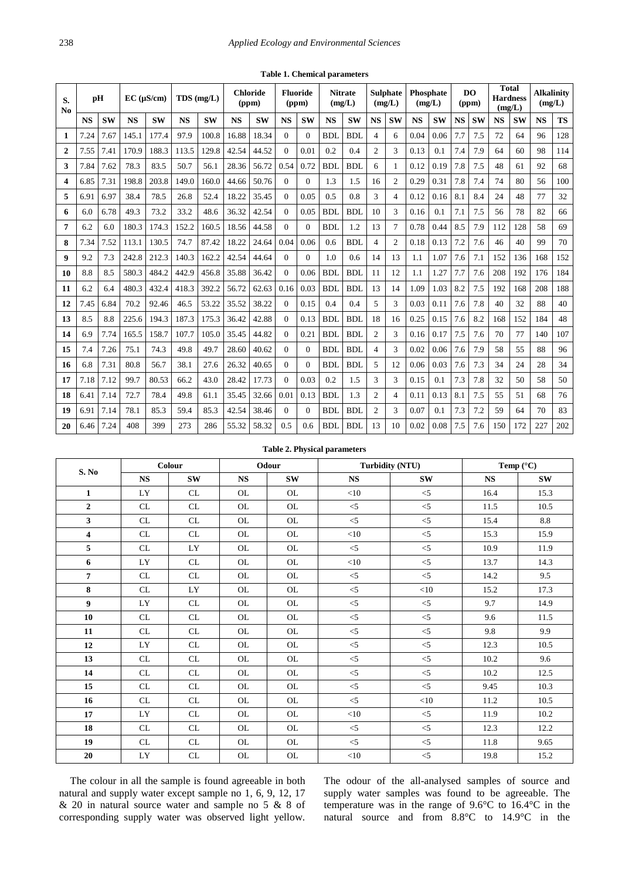<span id="page-2-0"></span>

| S.<br>N <sub>0</sub> | pH        |           | $EC$ ( $\mu$ S/cm) |           | $TDS$ (mg/L) |           | <b>Chloride</b><br>(ppm) |           | <b>Fluoride</b><br>(ppm) |                | <b>Nitrate</b><br>(mg/L) |            | <b>Sulphate</b><br>(mg/L) |                | <b>Phosphate</b><br>(mg/L) |           | D <sub>O</sub><br>(ppm) |     | <b>Total</b><br><b>Hardness</b><br>(mg/L) |     | <b>Alkalinitv</b><br>(mg/L) |           |
|----------------------|-----------|-----------|--------------------|-----------|--------------|-----------|--------------------------|-----------|--------------------------|----------------|--------------------------|------------|---------------------------|----------------|----------------------------|-----------|-------------------------|-----|-------------------------------------------|-----|-----------------------------|-----------|
|                      | <b>NS</b> | <b>SW</b> | <b>NS</b>          | <b>SW</b> | <b>NS</b>    | <b>SW</b> | <b>NS</b>                | <b>SW</b> | <b>NS</b>                | <b>SW</b>      | <b>NS</b>                | <b>SW</b>  | <b>NS</b>                 | <b>SW</b>      | <b>NS</b>                  | <b>SW</b> | <b>NS</b>               | SW  | <b>NS</b>                                 | SW  | <b>NS</b>                   | <b>TS</b> |
| 1                    | 7.24      | 7.67      | 145.1              | 177.4     | 97.9         | 100.8     | 16.88                    | 18.34     | $\Omega$                 | $\Omega$       | <b>BDL</b>               | <b>BDL</b> | $\overline{4}$            | 6              | 0.04                       | 0.06      | 7.7                     | 7.5 | 72                                        | 64  | 96                          | 128       |
| $\mathbf 2$          | 7.55      | 7.41      | 170.9              | 188.3     | 113.5        | 129.8     | 42.54                    | 44.52     | $\theta$                 | 0.01           | 0.2                      | 0.4        | $\overline{c}$            | 3              | 0.13                       | 0.1       | 7.4                     | 7.9 | 64                                        | 60  | 98                          | 114       |
| 3                    | 7.84      | 7.62      | 78.3               | 83.5      | 50.7         | 56.1      | 28.36                    | 56.72     | 0.54                     | 0.72           | <b>BDI</b>               | <b>BDL</b> | 6                         | 1              | 0.12                       | 0.19      | 7.8                     | 7.5 | 48                                        | 61  | 92                          | 68        |
| 4                    | 6.85      | 7.31      | 198.8              | 203.8     | 149.0        | 160.0     | 44.66                    | 50.76     | $\Omega$                 | $\overline{0}$ | 1.3                      | 1.5        | 16                        | $\overline{c}$ | 0.29                       | 0.31      | 7.8                     | 7.4 | 74                                        | 80  | 56                          | 100       |
| 5                    | 6.91      | 6.97      | 38.4               | 78.5      | 26.8         | 52.4      | 18.22                    | 35.45     | $\Omega$                 | 0.05           | 0.5                      | 0.8        | 3                         | 4              | 0.12                       | 0.16      | 8.1                     | 8.4 | 24                                        | 48  | 77                          | 32        |
| 6                    | 6.0       | 6.78      | 49.3               | 73.2      | 33.2         | 48.6      | 36.32                    | 42.54     | $\Omega$                 | 0.05           | <b>BDL</b>               | <b>BDL</b> | 10                        | 3              | 0.16                       | 0.1       | 7.1                     | 7.5 | 56                                        | 78  | 82                          | 66        |
| 7                    | 6.2       | 6.0       | 180.3              | 174.3     | 152.2        | 160.5     | 18.56                    | 44.58     | $\Omega$                 | $\Omega$       | <b>BDI</b>               | 1.2        | 13                        | $\tau$         | 0.78                       | 0.44      | 8.5                     | 7.9 | 112                                       | 128 | 58                          | 69        |
| 8                    | 7.34      | 7.52      | 113.1              | 130.5     | 74.7         | 87.42     | 18.22                    | 24.64     | 0.04                     | 0.06           | 0.6                      | <b>BDL</b> | $\overline{4}$            | $\overline{2}$ | 0.18                       | 0.13      | 7.2                     | 7.6 | 46                                        | 40  | 99                          | 70        |
| 9                    | 9.2       | 7.3       | 242.8              | 212.3     | 140.3        | 162.2     | 42.54                    | 44.64     | $\Omega$                 | $\overline{0}$ | 1.0                      | 0.6        | 14                        | 13             | 1.1                        | 1.07      | 7.6                     | 7.1 | 152                                       | 136 | 168                         | 152       |
| 10                   | 8.8       | 8.5       | 580.3              | 484.2     | 442.9        | 456.8     | 35.88                    | 36.42     | $\theta$                 | 0.06           | <b>BDL</b>               | <b>BDL</b> | 11                        | 12             | 1.1                        | 1.27      | 7.7                     | 7.6 | 208                                       | 192 | 176                         | 184       |
| 11                   | 6.2       | 6.4       | 480.3              | 432.4     | 418.3        | 392.2     | 56.72                    | 62.63     | 0.16                     | 0.03           | <b>BDL</b>               | <b>BDL</b> | 13                        | 14             | 1.09                       | 1.03      | 8.2                     | 7.5 | 192                                       | 168 | 208                         | 188       |
| 12                   | 7.45      | 6.84      | 70.2               | 92.46     | 46.5         | 53.22     | 35.52                    | 38.22     | $\Omega$                 | 0.15           | 0.4                      | 0.4        | 5                         | 3              | 0.03                       | 0.11      | 7.6                     | 7.8 | 40                                        | 32  | 88                          | 40        |
| 13                   | 8.5       | 8.8       | 225.6              | 194.3     | 187.3        | 175.3     | 36.42                    | 42.88     | $\Omega$                 | 0.13           | <b>BDL</b>               | <b>BDL</b> | 18                        | 16             | 0.25                       | 0.15      | 7.6                     | 8.2 | 168                                       | 152 | 184                         | 48        |
| 14                   | 6.9       | 7.74      | 165.5              | 158.7     | 107.7        | 105.0     | 35.45                    | 44.82     | $\Omega$                 | 0.21           | <b>BDL</b>               | <b>BDL</b> | $\overline{c}$            | 3              | 0.16                       | 0.17      | 7.5                     | 7.6 | 70                                        | 77  | 140                         | 107       |
| 15                   | 7.4       | 7.26      | 75.1               | 74.3      | 49.8         | 49.7      | 28.60                    | 40.62     | $\Omega$                 | $\Omega$       | <b>BDL</b>               | <b>BDL</b> | 4                         | 3              | 0.02                       | 0.06      | 7.6                     | 7.9 | 58                                        | 55  | 88                          | 96        |
| 16                   | 6.8       | 7.31      | 80.8               | 56.7      | 38.1         | 27.6      | 26.32                    | 40.65     | $\Omega$                 | $\Omega$       | <b>BDL</b>               | <b>BDL</b> | 5                         | 12             | 0.06                       | 0.03      | 7.6                     | 7.3 | 34                                        | 24  | 28                          | 34        |
| 17                   | 7.18      | 7.12      | 99.7               | 80.53     | 66.2         | 43.0      | 28.42                    | 17.73     | $\Omega$                 | 0.03           | 0.2                      | 1.5        | 3                         | 3              | 0.15                       | 0.1       | 7.3                     | 7.8 | 32                                        | 50  | 58                          | 50        |
| 18                   | 6.41      | 7.14      | 72.7               | 78.4      | 49.8         | 61.1      | 35.45                    | 32.66     | 0.01                     | 0.13           | <b>BDL</b>               | 1.3        | $\overline{c}$            | 4              | 0.11                       | 0.13      | 8.1                     | 7.5 | 55                                        | 51  | 68                          | 76        |
| 19                   | 6.91      | 7.14      | 78.1               | 85.3      | 59.4         | 85.3      | 42.54                    | 38.46     | $\Omega$                 | $\mathbf{0}$   | <b>BDL</b>               | <b>BDL</b> | $\overline{c}$            | 3              | 0.07                       | 0.1       | 7.3                     | 7.2 | 59                                        | 64  | 70                          | 83        |
| 20                   | 6.46      | 7.24      | 408                | 399       | 273          | 286       | 55.32                    | 58.32     | 0.5                      | 0.6            | BDI.                     | BDI.       | 13                        | 10             | 0.02                       | 0.08      | 7.5                     | 7.6 | 150                                       | 172 | 227                         | 202       |

**Table 1. Chemical parameters**

#### **Table 2. Physical parameters**

<span id="page-2-1"></span>

|                  |           | Colour                            |           | Odour     |           | <b>Turbidity (NTU)</b> | Temp $(^{\circ}C)$ |                 |  |
|------------------|-----------|-----------------------------------|-----------|-----------|-----------|------------------------|--------------------|-----------------|--|
| S. No            | <b>NS</b> | <b>SW</b>                         | <b>NS</b> | <b>SW</b> | <b>NS</b> | <b>SW</b>              | <b>NS</b>          | <b>SW</b>       |  |
| $\mathbf{1}$     | LY        | CL                                | <b>OL</b> | <b>OL</b> | $<$ 10    | $<$ 5                  | 16.4               | 15.3            |  |
| $\boldsymbol{2}$ | CL        | CL                                | <b>OL</b> | <b>OL</b> | $<$ 5     | $<$ 5                  | 11.5               | 10.5            |  |
| 3                | CL        | CL                                | <b>OL</b> | <b>OL</b> | $\leq$    | $<$ 5                  | 15.4               | $\!\!\!\!\!8.8$ |  |
| 4                | CL        | CL                                | <b>OL</b> | <b>OL</b> | $<$ 10    | $<$ 5                  | 15.3               | 15.9            |  |
| 5                | CL        | LY                                | <b>OL</b> | <b>OL</b> | $<$ 5     | $<$ 5                  | 10.9               | 11.9            |  |
| 6                | LY        | CL                                | <b>OL</b> | <b>OL</b> | $<$ 10    | $<$ 5                  | 13.7               | 14.3            |  |
| $\overline{7}$   | CL        | CL                                | <b>OL</b> | <b>OL</b> | $<$ 5     | $<$ 5                  | 14.2               | 9.5             |  |
| 8                | CL        | LY                                | <b>OL</b> | <b>OL</b> | $\leq$ 5  | $<$ 10                 | 15.2               | 17.3            |  |
| 9                | LY        | CL                                | <b>OL</b> | <b>OL</b> | $<$ 5     | $<$ 5                  | 9.7                | 14.9            |  |
| 10               | CL        | CL                                | <b>OL</b> | <b>OL</b> | $<$ 5     | $<$ 5                  | 9.6                | 11.5            |  |
| 11               | CL        | CL                                | <b>OL</b> | OL        | $<$ 5     | $<$ 5                  | 9.8                | 9.9             |  |
| 12               | LY        | CL                                | <b>OL</b> | <b>OL</b> | $<$ 5     | $<$ 5                  | 12.3               | 10.5            |  |
| 13               | CL        | CL                                | <b>OL</b> | <b>OL</b> | $<$ 5     | $<$ 5                  | 10.2               | 9.6             |  |
| 14               | CL        | CL                                | <b>OL</b> | <b>OL</b> | $<$ 5     | $<$ 5                  | 10.2               | 12.5            |  |
| 15               | CL        | CL                                | <b>OL</b> | <b>OL</b> | $<$ 5     | $<$ 5                  | 9.45               | 10.3            |  |
| 16               | CL        | CL                                | <b>OL</b> | <b>OL</b> | $<$ 5     | $<$ 10                 | 11.2               | 10.5            |  |
| 17               | LY        | CL                                | <b>OL</b> | <b>OL</b> | $<$ 10    | $<$ 5                  | 11.9               | 10.2            |  |
| 18               | CL        | CL                                | <b>OL</b> | <b>OL</b> | $<$ 5     | $<$ 5                  | 12.3               | 12.2            |  |
| 19               | CL        | CL                                | <b>OL</b> | <b>OL</b> | $<$ 5     | $<$ 5                  | 11.8               | 9.65            |  |
| 20               | LY        | $\ensuremath{\textup{CL}}\xspace$ | <b>OL</b> | OL        | $<$ 10    | $<\!\!5$               | 19.8               | 15.2            |  |

The colour in all the sample is found agreeable in both natural and supply water except sample no 1, 6, 9, 12, 17 & 20 in natural source water and sample no 5 & 8 of corresponding supply water was observed light yellow. The odour of the all-analysed samples of source and supply water samples was found to be agreeable. The temperature was in the range of 9.6°C to 16.4°C in the natural source and from 8.8°C to 14.9°C in the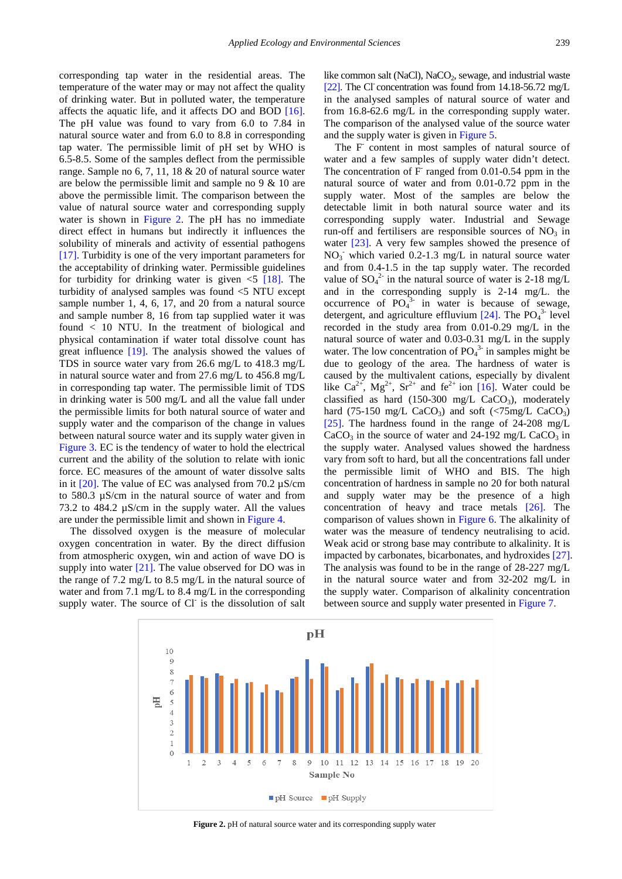corresponding tap water in the residential areas. The temperature of the water may or may not affect the quality of drinking water. But in polluted water, the temperature affects the aquatic life, and it affects DO and BOD [\[16\].](#page-6-14) The pH value was found to vary from 6.0 to 7.84 in natural source water and from 6.0 to 8.8 in corresponding tap water. The permissible limit of pH set by WHO is 6.5-8.5. Some of the samples deflect from the permissible range. Sample no 6, 7, 11, 18 & 20 of natural source water are below the permissible limit and sample no 9 & 10 are above the permissible limit. The comparison between the value of natural source water and corresponding supply water is shown in [Figure 2.](#page-3-0) The pH has no immediate direct effect in humans but indirectly it influences the solubility of minerals and activity of essential pathogens [\[17\].](#page-6-15) Turbidity is one of the very important parameters for the acceptability of drinking water. Permissible guidelines for turbidity for drinking water is given  $\leq$  [\[18\].](#page-6-16) The turbidity of analysed samples was found <5 NTU except sample number 1, 4, 6, 17, and 20 from a natural source and sample number 8, 16 from tap supplied water it was found < 10 NTU. In the treatment of biological and physical contamination if water total dissolve count has great influence [\[19\].](#page-6-17) The analysis showed the values of TDS in source water vary from 26.6 mg/L to 418.3 mg/L in natural source water and from 27.6 mg/L to 456.8 mg/L in corresponding tap water. The permissible limit of TDS in drinking water is 500 mg/L and all the value fall under the permissible limits for both natural source of water and supply water and the comparison of the change in values between natural source water and its supply water given in [Figure 3.](#page-4-0) EC is the tendency of water to hold the electrical current and the ability of the solution to relate with ionic force. EC measures of the amount of water dissolve salts in it  $[20]$ . The value of EC was analysed from 70.2  $\mu$ S/cm to 580.3 µS/cm in the natural source of water and from 73.2 to 484.2 µS/cm in the supply water. All the values are under the permissible limit and shown in [Figure 4.](#page-4-1)

The dissolved oxygen is the measure of molecular oxygen concentration in water*.* By the direct diffusion from atmospheric oxygen, win and action of wave DO is supply into water [\[21\].](#page-6-19) The value observed for DO was in the range of 7.2 mg/L to 8.5 mg/L in the natural source of water and from 7.1 mg/L to 8.4 mg/L in the corresponding supply water. The source of Cl<sup>-</sup> is the dissolution of salt like common salt (NaCl), NaCO<sub>2</sub>, sewage, and industrial waste [\[22\].](#page-6-20) The Cl concentration was found from 14.18-56.72 mg/L in the analysed samples of natural source of water and from 16.8-62.6 mg/L in the corresponding supply water. The comparison of the analysed value of the source water and the supply water is given in [Figure 5.](#page-4-2)

The F- content in most samples of natural source of water and a few samples of supply water didn't detect. The concentration of  $F$  ranged from 0.01-0.54 ppm in the natural source of water and from 0.01-0.72 ppm in the supply water. Most of the samples are below the detectable limit in both natural source water and its corresponding supply water. Industrial and Sewage run-off and fertilisers are responsible sources of  $NO<sub>3</sub>$  in water [\[23\].](#page-6-21) A very few samples showed the presence of  $NO<sub>3</sub>$  which varied 0.2-1.3 mg/L in natural source water and from 0.4-1.5 in the tap supply water. The recorded value of  $SO_4^2$  in the natural source of water is 2-18 mg/L and in the corresponding supply is 2-14 mg/L. the occurrence of  $PO_4^{3}$  in water is because of sewage, detergent, and agriculture effluvium  $[24]$ . The PO<sub>4</sub><sup>3</sup> level recorded in the study area from 0.01-0.29 mg/L in the natural source of water and 0.03-0.31 mg/L in the supply water. The low concentration of  $PO<sub>4</sub><sup>3</sup>$  in samples might be due to geology of the area. The hardness of water is caused by the multivalent cations, especially by divalent like  $Ca^{2+}$ ,  $Mg^{2+}$ ,  $Sr^{2+}$  and  $fe^{2+}$  ion [\[16\].](#page-6-14) Water could be classified as hard  $(150-300 \text{ mg/L } CaCO<sub>3</sub>)$ , moderately hard (75-150 mg/L CaCO<sub>3</sub>) and soft (<75mg/L CaCO<sub>3</sub>) [\[25\].](#page-6-23) The hardness found in the range of  $24-208$  mg/L  $CaCO<sub>3</sub>$  in the source of water and 24-192 mg/L CaCO<sub>3</sub> in the supply water. Analysed values showed the hardness vary from soft to hard, but all the concentrations fall under the permissible limit of WHO and BIS. The high concentration of hardness in sample no 20 for both natural and supply water may be the presence of a high concentration of heavy and trace metals [\[26\].](#page-6-24) The comparison of values shown in [Figure 6.](#page-4-3) The alkalinity of water was the measure of tendency neutralising to acid. Weak acid or strong base may contribute to alkalinity. It is impacted by carbonates, bicarbonates, and hydroxides [\[27\].](#page-6-25) The analysis was found to be in the range of 28-227 mg/L in the natural source water and from 32-202 mg/L in the supply water. Comparison of alkalinity concentration between source and supply water presented in [Figure 7.](#page-5-0)

<span id="page-3-0"></span>

**Figure 2.** pH of natural source water and its corresponding supply water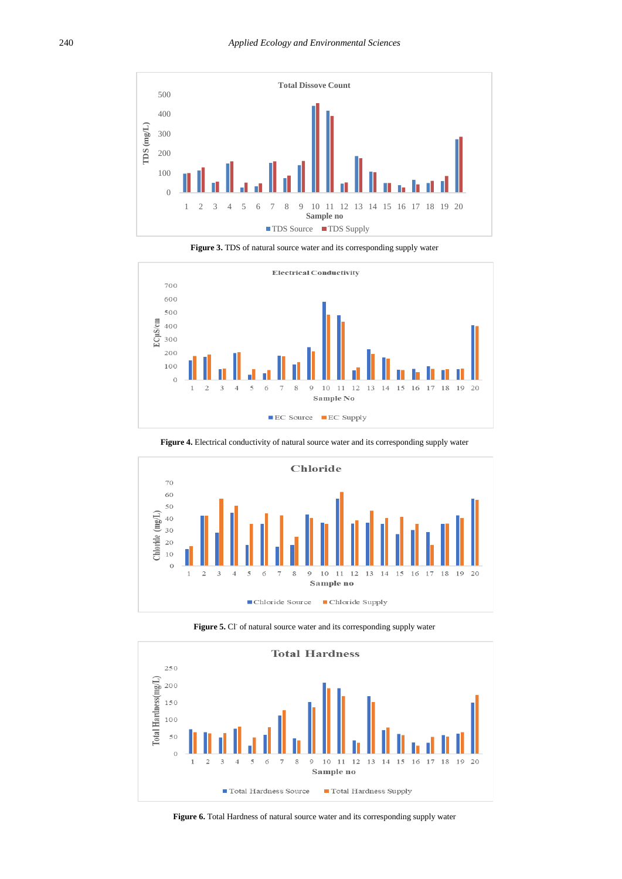<span id="page-4-0"></span>



<span id="page-4-1"></span>

Figure 4. Electrical conductivity of natural source water and its corresponding supply water

<span id="page-4-2"></span>

**Figure 5.** Cl<sup>-</sup> of natural source water and its corresponding supply water

<span id="page-4-3"></span>

Figure 6. Total Hardness of natural source water and its corresponding supply water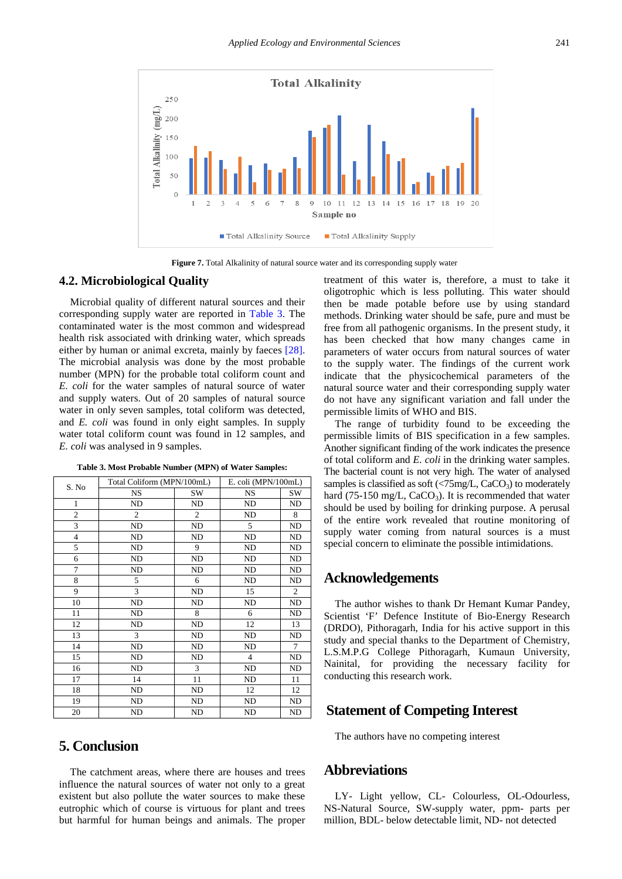<span id="page-5-0"></span>

Figure 7. Total Alkalinity of natural source water and its corresponding supply water

#### **4.2. Microbiological Quality**

Microbial quality of different natural sources and their corresponding supply water are reported in [Table 3.](#page-5-1) The contaminated water is the most common and widespread health risk associated with drinking water, which spreads either by human or animal excreta, mainly by faeces [\[28\].](#page-6-26) The microbial analysis was done by the most probable number (MPN) for the probable total coliform count and *E. coli* for the water samples of natural source of water and supply waters. Out of 20 samples of natural source water in only seven samples, total coliform was detected. and *E. coli* was found in only eight samples. In supply water total coliform count was found in 12 samples, and *E. coli* was analysed in 9 samples.

<span id="page-5-1"></span>

| S. No          | Total Coliform (MPN/100mL) |                | E. coli (MPN/100mL) |                |  |
|----------------|----------------------------|----------------|---------------------|----------------|--|
|                | <b>NS</b>                  | SW             | <b>NS</b>           | SW             |  |
| 1              | N <sub>D</sub>             | <b>ND</b>      | ND                  | ND             |  |
| $\overline{c}$ | $\overline{c}$             | $\overline{c}$ | <b>ND</b>           | 8              |  |
| 3              | ND                         | ND             | 5                   | ND             |  |
| $\overline{4}$ | ND                         | ND             | ND                  | ND             |  |
| 5              | ND                         | 9              | ND                  | ND             |  |
| 6              | ND                         | ND             | ND                  | ND             |  |
| 7              | ND                         | ND             | ND                  | ND             |  |
| 8              | 5                          | 6              | ND                  | ND             |  |
| 9              | 3                          | ND             | 15                  | $\overline{c}$ |  |
| 10             | ND                         | ND             | ND                  | ND             |  |
| 11             | ND                         | 8              | 6                   | ND             |  |
| 12             | ND                         | ND             | 12                  | 13             |  |
| 13             | 3                          | ND             | ND                  | ND             |  |
| 14             | ND                         | ND             | ND                  | 7              |  |
| 15             | ND                         | ND             | $\overline{4}$      | ND             |  |
| 16             | ND                         | 3              | ND                  | ND             |  |
| 17             | 14                         | 11             | ND                  | 11             |  |
| 18             | ND                         | ND             | 12                  | 12             |  |
| 19             | ND                         | ND             | ND                  | ND             |  |
| 20             | ND                         | ND             | ND                  | ND             |  |

**Table 3. Most Probable Number (MPN) of Water Samples:**

# **5. Conclusion**

The catchment areas, where there are houses and trees influence the natural sources of water not only to a great existent but also pollute the water sources to make these eutrophic which of course is virtuous for plant and trees but harmful for human beings and animals. The proper treatment of this water is, therefore, a must to take it oligotrophic which is less polluting. This water should then be made potable before use by using standard methods. Drinking water should be safe, pure and must be free from all pathogenic organisms. In the present study, it has been checked that how many changes came in parameters of water occurs from natural sources of water to the supply water. The findings of the current work indicate that the physicochemical parameters of the natural source water and their corresponding supply water do not have any significant variation and fall under the permissible limits of WHO and BIS.

The range of turbidity found to be exceeding the permissible limits of BIS specification in a few samples. Another significant finding of the work indicates the presence of total coliform and *E. coli* in the drinking water samples. The bacterial count is not very high. The water of analysed samples is classified as soft  $\langle \langle 75 \text{mg/L}, \text{CaCO}_3 \rangle$  to moderately hard (75-150 mg/L,  $CaCO<sub>3</sub>$ ). It is recommended that water should be used by boiling for drinking purpose. A perusal of the entire work revealed that routine monitoring of supply water coming from natural sources is a must special concern to eliminate the possible intimidations.

## **Acknowledgements**

The author wishes to thank Dr Hemant Kumar Pandey, Scientist 'F' Defence Institute of Bio-Energy Research (DRDO), Pithoragarh, India for his active support in this study and special thanks to the Department of Chemistry, L.S.M.P.G College Pithoragarh, Kumaun University, Nainital, for providing the necessary facility for conducting this research work.

### **Statement of Competing Interest**

The authors have no competing interest

### **Abbreviations**

LY- Light yellow, CL- Colourless, OL-Odourless, NS-Natural Source, SW-supply water, ppm- parts per million, BDL- below detectable limit, ND- not detected